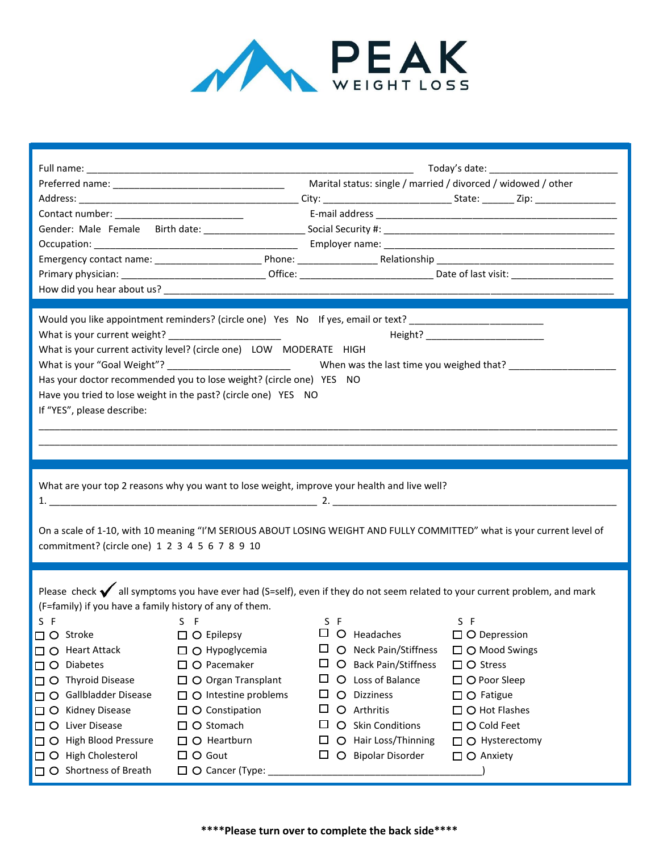

|                                                                                                                         | Would you like appointment reminders? (circle one) Yes No If yes, email or text? _________________________ |                                              |                                                                                                                                    |
|-------------------------------------------------------------------------------------------------------------------------|------------------------------------------------------------------------------------------------------------|----------------------------------------------|------------------------------------------------------------------------------------------------------------------------------------|
|                                                                                                                         | What is your current weight? ________________________                                                      |                                              |                                                                                                                                    |
|                                                                                                                         | What is your current activity level? (circle one) LOW MODERATE HIGH                                        |                                              |                                                                                                                                    |
|                                                                                                                         |                                                                                                            |                                              |                                                                                                                                    |
| Has your doctor recommended you to lose weight? (circle one) YES NO                                                     |                                                                                                            |                                              |                                                                                                                                    |
| Have you tried to lose weight in the past? (circle one) YES NO                                                          |                                                                                                            |                                              |                                                                                                                                    |
| If "YES", please describe:                                                                                              |                                                                                                            |                                              |                                                                                                                                    |
|                                                                                                                         |                                                                                                            |                                              |                                                                                                                                    |
|                                                                                                                         |                                                                                                            |                                              |                                                                                                                                    |
|                                                                                                                         |                                                                                                            |                                              |                                                                                                                                    |
|                                                                                                                         |                                                                                                            |                                              |                                                                                                                                    |
|                                                                                                                         | What are your top 2 reasons why you want to lose weight, improve your health and live well?                |                                              |                                                                                                                                    |
|                                                                                                                         |                                                                                                            |                                              |                                                                                                                                    |
|                                                                                                                         |                                                                                                            |                                              |                                                                                                                                    |
| On a scale of 1-10, with 10 meaning "I'M SERIOUS ABOUT LOSING WEIGHT AND FULLY COMMITTED" what is your current level of |                                                                                                            |                                              |                                                                                                                                    |
| commitment? (circle one) 1 2 3 4 5 6 7 8 9 10                                                                           |                                                                                                            |                                              |                                                                                                                                    |
|                                                                                                                         |                                                                                                            |                                              |                                                                                                                                    |
|                                                                                                                         |                                                                                                            |                                              |                                                                                                                                    |
|                                                                                                                         |                                                                                                            |                                              | Please check $\bigvee$ all symptoms you have ever had (S=self), even if they do not seem related to your current problem, and mark |
| (F=family) if you have a family history of any of them.                                                                 |                                                                                                            |                                              |                                                                                                                                    |
| S F                                                                                                                     | S F                                                                                                        | S F<br>$\Box$ O Headaches                    | S F                                                                                                                                |
| □ ○ Stroke                                                                                                              | $\Box$ $\bigcirc$ Epilepsy                                                                                 |                                              | $\square$ O Depression                                                                                                             |
| $\Box$ $\bigcirc$ Heart Attack                                                                                          | $\Box$ $\bigcirc$ Hypoglycemia                                                                             | ப<br>O Neck Pain/Stiffness                   | $\Box$ $\bigcirc$ Mood Swings                                                                                                      |
| $\Box$ $\bigcirc$ Diabetes                                                                                              | $\Box$ $\bigcirc$ Pacemaker                                                                                | $\Box$ $\bigcirc$ Back Pain/Stiffness        | $\Box$ $\bigcirc$ Stress                                                                                                           |
| $\Box$ $\bigcirc$ Thyroid Disease                                                                                       | $\Box$ $\bigcirc$ Organ Transplant                                                                         | $\Box$<br>O Loss of Balance                  | $\Box$ $\bigcirc$ Poor Sleep                                                                                                       |
| □ ○ Gallbladder Disease                                                                                                 | $\Box$ O Intestine problems                                                                                | <b>Dizziness</b><br>ப<br>$\circ$             | $\Box$ $\bigcirc$ Fatigue                                                                                                          |
| □ ○ Kidney Disease                                                                                                      | $\Box$ $\bigcirc$ Constipation                                                                             | ப<br>O Arthritis                             | $\Box$ $\bigcirc$ Hot Flashes                                                                                                      |
| □ ○ Liver Disease                                                                                                       | $\Box$ $\bigcirc$ Stomach                                                                                  | $\Box$<br>O Skin Conditions                  | $\Box$ $\bigcirc$ Cold Feet                                                                                                        |
| □ ○ High Blood Pressure                                                                                                 |                                                                                                            |                                              |                                                                                                                                    |
|                                                                                                                         | $\Box$ $\bigcirc$ Heartburn                                                                                | O Hair Loss/Thinning<br>ப                    | $\Box$ O Hysterectomy                                                                                                              |
| $\Box$ O High Cholesterol                                                                                               | $\Box$ $\bigcirc$ Gout                                                                                     | $\Box$<br>$\circ$<br><b>Bipolar Disorder</b> | $\Box$ $\bigcirc$ Anxiety                                                                                                          |